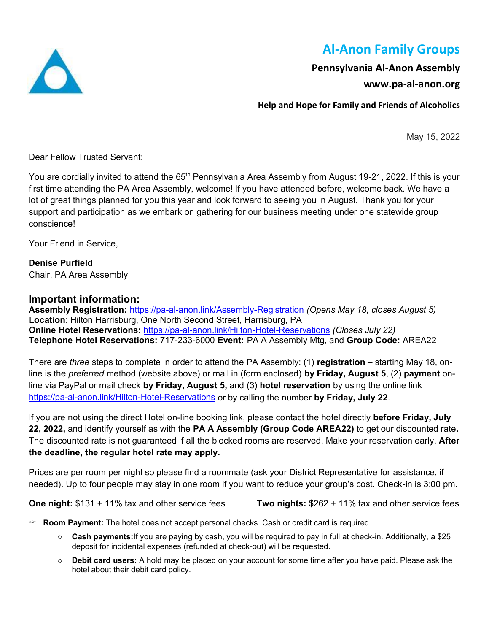# **Al-Anon Family Groups**

### **Pennsylvania Al-Anon Assembly**

### **www.pa-al-anon.org**

**Help and Hope for Family and Friends of Alcoholics**

May 15, 2022

Dear Fellow Trusted Servant:

You are cordially invited to attend the 65<sup>th</sup> Pennsylvania Area Assembly from August 19-21, 2022. If this is your first time attending the PA Area Assembly, welcome! If you have attended before, welcome back. We have a lot of great things planned for you this year and look forward to seeing you in August. Thank you for your support and participation as we embark on gathering for our business meeting under one statewide group conscience!

Your Friend in Service,

**Denise Purfield** Chair, PA Area Assembly

### **Important information:**

**Assembly Registration:** <https://pa-al-anon.link/Assembly-Registration> *(Opens May 18, closes August 5)* **Location**: Hilton Harrisburg, One North Second Street, Harrisburg, PA **Online Hotel Reservations:** <https://pa-al-anon.link/Hilton-Hotel-Reservations> *(Closes July 22)* **Telephone Hotel Reservations:** 717-233-6000 **Event:** PA A Assembly Mtg, and **Group Code:** AREA22

There are *three* steps to complete in order to attend the PA Assembly: (1) **registration** – starting May 18, online is the *preferred* method (website above) or mail in (form enclosed) **by Friday, August 5**, (2) **payment** online via PayPal or mail check **by Friday, August 5,** and (3) **hotel reservation** by using the online link <https://pa-al-anon.link/Hilton-Hotel-Reservations> or by calling the number **by Friday, July 22**.

If you are not using the direct Hotel on-line booking link, please contact the hotel directly **before Friday, July 22, 2022,** and identify yourself as with the **PA A Assembly (Group Code AREA22)** to get our discounted rate**.**  The discounted rate is not guaranteed if all the blocked rooms are reserved. Make your reservation early. **After the deadline, the regular hotel rate may apply.** 

Prices are per room per night so please find a roommate (ask your District Representative for assistance, if needed). Up to four people may stay in one room if you want to reduce your group's cost. Check-in is 3:00 pm.

**One night:** \$131 + 11% tax and other service fees **Two nights:** \$262 + 11% tax and other service fees

**Room Payment:** The hotel does not accept personal checks. Cash or credit card is required.

- o **Cash payments:**If you are paying by cash, you will be required to pay in full at check-in. Additionally, a \$25 deposit for incidental expenses (refunded at check-out) will be requested.
- o **Debit card users:** A hold may be placed on your account for some time after you have paid. Please ask the hotel about their debit card policy.

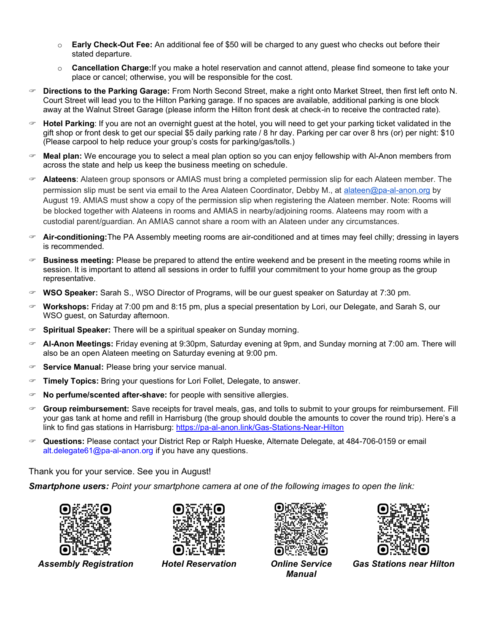- o **Early Check-Out Fee:** An additional fee of \$50 will be charged to any guest who checks out before their stated departure.
- o **Cancellation Charge:**If you make a hotel reservation and cannot attend, please find someone to take your place or cancel; otherwise, you will be responsible for the cost.
- **Directions to the Parking Garage:** From North Second Street, make a right onto Market Street, then first left onto N. Court Street will lead you to the Hilton Parking garage. If no spaces are available, additional parking is one block away at the Walnut Street Garage (please inform the Hilton front desk at check-in to receive the contracted rate).
- **Hotel Parking**: If you are not an overnight guest at the hotel, you will need to get your parking ticket validated in the gift shop or front desk to get our special \$5 daily parking rate / 8 hr day. Parking per car over 8 hrs (or) per night: \$10 (Please carpool to help reduce your group's costs for parking/gas/tolls.)
- **Meal plan:** We encourage you to select a meal plan option so you can enjoy fellowship with Al-Anon members from across the state and help us keep the business meeting on schedule.
- **Alateens**: Alateen group sponsors or AMIAS must bring a completed permission slip for each Alateen member. The permission slip must be sent via email to the Area Alateen Coordinator, Debby M., at [alateen@pa-al-anon.org](mailto:alateen@pa-al-anon.org) by August 19. AMIAS must show a copy of the permission slip when registering the Alateen member. Note: Rooms will be blocked together with Alateens in rooms and AMIAS in nearby/adjoining rooms. Alateens may room with a custodial parent/guardian. An AMIAS cannot share a room with an Alateen under any circumstances.
- **Air-conditioning:**The PA Assembly meeting rooms are air-conditioned and at times may feel chilly; dressing in layers is recommended.
- **Business meeting:** Please be prepared to attend the entire weekend and be present in the meeting rooms while in session. It is important to attend all sessions in order to fulfill your commitment to your home group as the group representative.
- **WSO Speaker:** Sarah S., WSO Director of Programs, will be our guest speaker on Saturday at 7:30 pm.
- **Workshops:** Friday at 7:00 pm and 8:15 pm, plus a special presentation by Lori, our Delegate, and Sarah S, our WSO guest, on Saturday afternoon.
- **Spiritual Speaker:** There will be a spiritual speaker on Sunday morning.
- **Al-Anon Meetings:** Friday evening at 9:30pm, Saturday evening at 9pm, and Sunday morning at 7:00 am. There will also be an open Alateen meeting on Saturday evening at 9:00 pm.
- **Service Manual:** Please bring your service manual.
- **Timely Topics:** Bring your questions for Lori Follet, Delegate, to answer.
- **No perfume/scented after-shave:** for people with sensitive allergies.
- **Group reimbursement:** Save receipts for travel meals, gas, and tolls to submit to your groups for reimbursement. Fill your gas tank at home and refill in Harrisburg (the group should double the amounts to cover the round trip). Here's a link to find gas stations in Harrisburg:<https://pa-al-anon.link/Gas-Stations-Near-Hilton>
- **Questions:** Please contact your District Rep or Ralph Hueske, Alternate Delegate, at 484-706-0159 or email alt.delegate61@pa-al-anon.org if you have any questions.

Thank you for your service. See you in August!

*Smartphone users: Point your smartphone camera at one of the following images to open the link:*





*Assembly Registration Hotel Reservation Online Service* 





*Manual*

*Gas Stations near Hilton*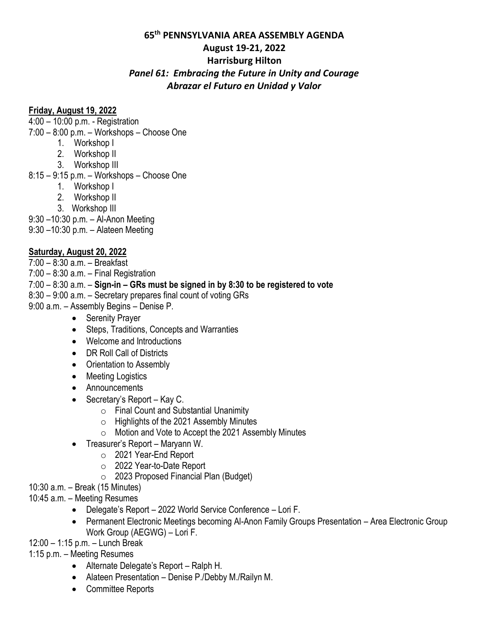#### **65th PENNSYLVANIA AREA ASSEMBLY AGENDA**

#### **August 19-21, 2022**

#### **Harrisburg Hilton**

### *Panel 61: Embracing the Future in Unity and Courage Abrazar el Futuro en Unidad y Valor*

### **Friday, August 19, 2022**

4:00 – 10:00 p.m. - Registration

7:00 – 8:00 p.m. – Workshops – Choose One

- 1. Workshop I
- 2. Workshop II
- 3. Workshop III
- 8:15 9:15 p.m. Workshops Choose One
	- 1. Workshop I
	- 2. Workshop II
	- 3. Workshop III
- 9:30 –10:30 p.m. Al-Anon Meeting
- 9:30 –10:30 p.m. Alateen Meeting

### **Saturday, August 20, 2022**

- 7:00 8:30 a.m. Breakfast
- $7:00 8:30$  a.m.  $-$  Final Registration
- 7:00 8:30 a.m. **Sign-in – GRs must be signed in by 8:30 to be registered to vote**
- 8:30 9:00 a.m. Secretary prepares final count of voting GRs
- 9:00 a.m. Assembly Begins Denise P.
	- Serenity Prayer
	- Steps, Traditions, Concepts and Warranties
	- Welcome and Introductions
	- DR Roll Call of Districts
	- Orientation to Assembly
	- Meeting Logistics
	- Announcements
	- Secretary's Report Kay C.
		- o Final Count and Substantial Unanimity
		- o Highlights of the 2021 Assembly Minutes
		- o Motion and Vote to Accept the 2021 Assembly Minutes
	- Treasurer's Report Maryann W.
		- o 2021 Year-End Report
		- o 2022 Year-to-Date Report
		- o 2023 Proposed Financial Plan (Budget)
- 10:30 a.m. Break (15 Minutes)
- 10:45 a.m. Meeting Resumes
	- Delegate's Report 2022 World Service Conference Lori F.
	- Permanent Electronic Meetings becoming Al-Anon Family Groups Presentation Area Electronic Group Work Group (AEGWG) – Lori F.
- 12:00 1:15 p.m. Lunch Break
- 1:15 p.m. Meeting Resumes
	- Alternate Delegate's Report Ralph H.
	- Alateen Presentation Denise P./Debby M./Railyn M.
	- Committee Reports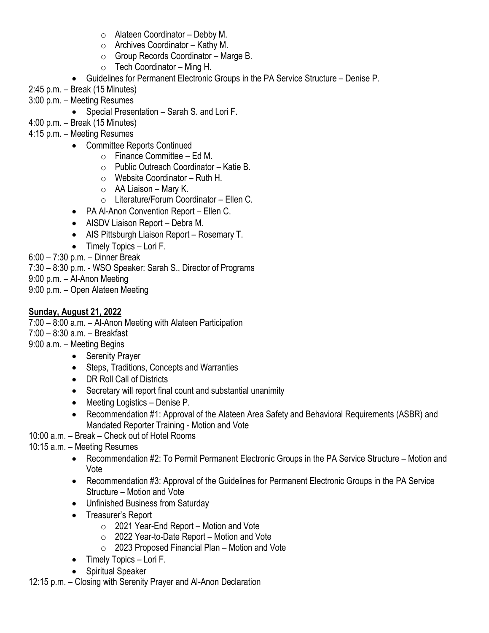- $\circ$  Alateen Coordinator Debby M.
- $\circ$  Archives Coordinator Kathy M.
- o Group Records Coordinator Marge B.
- $\circ$  Tech Coordinator Ming H.
- Guidelines for Permanent Electronic Groups in the PA Service Structure Denise P.
- 2:45 p.m. Break (15 Minutes)
- 3:00 p.m. Meeting Resumes
	- Special Presentation Sarah S. and Lori F.
- 4:00 p.m. Break (15 Minutes)
- 4:15 p.m. Meeting Resumes
	- Committee Reports Continued
		- $\circ$  Finance Committee Ed M.
		- o Public Outreach Coordinator Katie B.
		- o Website Coordinator Ruth H.
		- $\circ$  AA Liaison Mary K.
		- o Literature/Forum Coordinator Ellen C.
	- PA Al-Anon Convention Report Ellen C.
	- AISDV Liaison Report Debra M.
	- AIS Pittsburgh Liaison Report Rosemary T.
	- Timely Topics Lori F.

6:00 – 7:30 p.m. – Dinner Break

7:30 – 8:30 p.m. - WSO Speaker: Sarah S., Director of Programs

9:00 p.m. – Al-Anon Meeting

9:00 p.m. – Open Alateen Meeting

## **Sunday, August 21, 2022**

7:00 – 8:00 a.m. – Al-Anon Meeting with Alateen Participation

7:00 – 8:30 a.m. – Breakfast

9:00 a.m. – Meeting Begins

- Serenity Prayer
- Steps, Traditions, Concepts and Warranties
- DR Roll Call of Districts
- Secretary will report final count and substantial unanimity
- Meeting Logistics Denise P.
- Recommendation #1: Approval of the Alateen Area Safety and Behavioral Requirements (ASBR) and Mandated Reporter Training - Motion and Vote
- 10:00 a.m. Break Check out of Hotel Rooms

10:15 a.m. – Meeting Resumes

- Recommendation #2: To Permit Permanent Electronic Groups in the PA Service Structure Motion and Vote
- Recommendation #3: Approval of the Guidelines for Permanent Electronic Groups in the PA Service Structure – Motion and Vote
- Unfinished Business from Saturday
- Treasurer's Report
	- $\circ$  2021 Year-End Report Motion and Vote
	- $\circ$  2022 Year-to-Date Report Motion and Vote
	- $\circ$  2023 Proposed Financial Plan Motion and Vote
- Timely Topics Lori F.
- Spiritual Speaker

12:15 p.m. – Closing with Serenity Prayer and Al-Anon Declaration